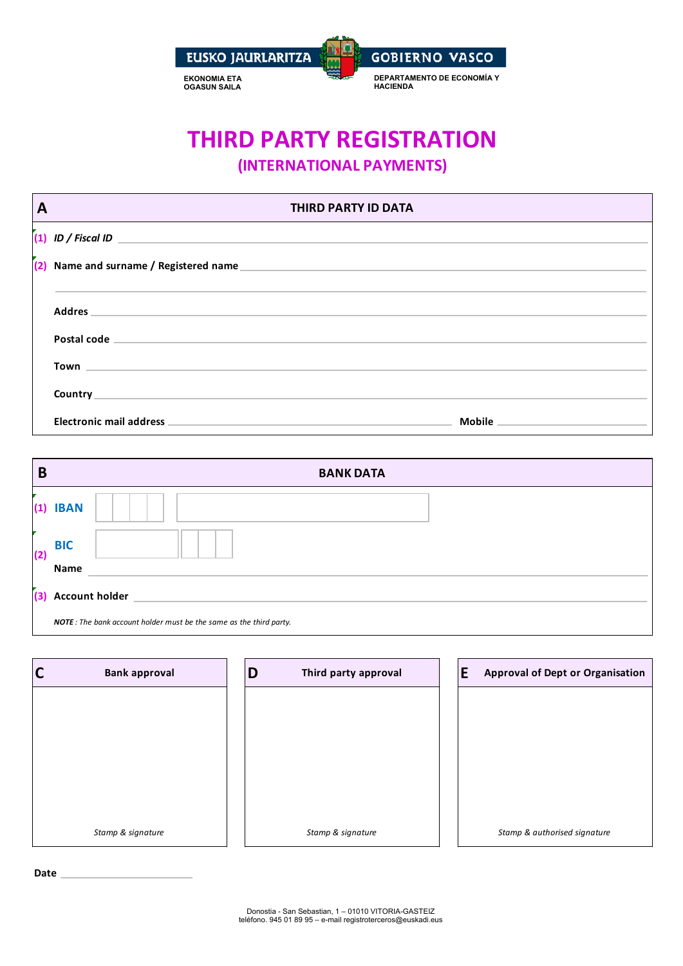

# **THIRD PARTY REGISTRATION (INTERNATIONAL PAYMENTS)**

| $\overline{A}$ | <b>THIRD PARTY ID DATA</b>                                                                                                                                                                                                                                                                                                                       |  |  |
|----------------|--------------------------------------------------------------------------------------------------------------------------------------------------------------------------------------------------------------------------------------------------------------------------------------------------------------------------------------------------|--|--|
|                |                                                                                                                                                                                                                                                                                                                                                  |  |  |
|                |                                                                                                                                                                                                                                                                                                                                                  |  |  |
|                |                                                                                                                                                                                                                                                                                                                                                  |  |  |
|                |                                                                                                                                                                                                                                                                                                                                                  |  |  |
|                |                                                                                                                                                                                                                                                                                                                                                  |  |  |
|                |                                                                                                                                                                                                                                                                                                                                                  |  |  |
|                | Electronic mail address and the control of the control of the control of the control of the control of the control of the control of the control of the control of the control of the control of the control of the control of<br>Mobile and the contract of the contract of the contract of the contract of the contract of the contract of the |  |  |

| B   |                                                                            | <b>BANK DATA</b> |  |  |
|-----|----------------------------------------------------------------------------|------------------|--|--|
|     | <b>IBAN</b><br>(1)                                                         |                  |  |  |
| (2) | <b>BIC</b>                                                                 |                  |  |  |
|     | Name                                                                       |                  |  |  |
|     | $(3)$ Account holder                                                       |                  |  |  |
|     | <b>NOTE</b> : The bank account holder must be the same as the third party. |                  |  |  |

| $ {\bf C}$<br><b>Bank approval</b> | D<br>Third party approval | <b>Approval of Dept or Organisation</b><br>E |
|------------------------------------|---------------------------|----------------------------------------------|
|                                    |                           |                                              |
|                                    |                           |                                              |
|                                    |                           |                                              |
|                                    |                           |                                              |
|                                    |                           |                                              |
| Stamp & signature                  | Stamp & signature         | Stamp & authorised signature                 |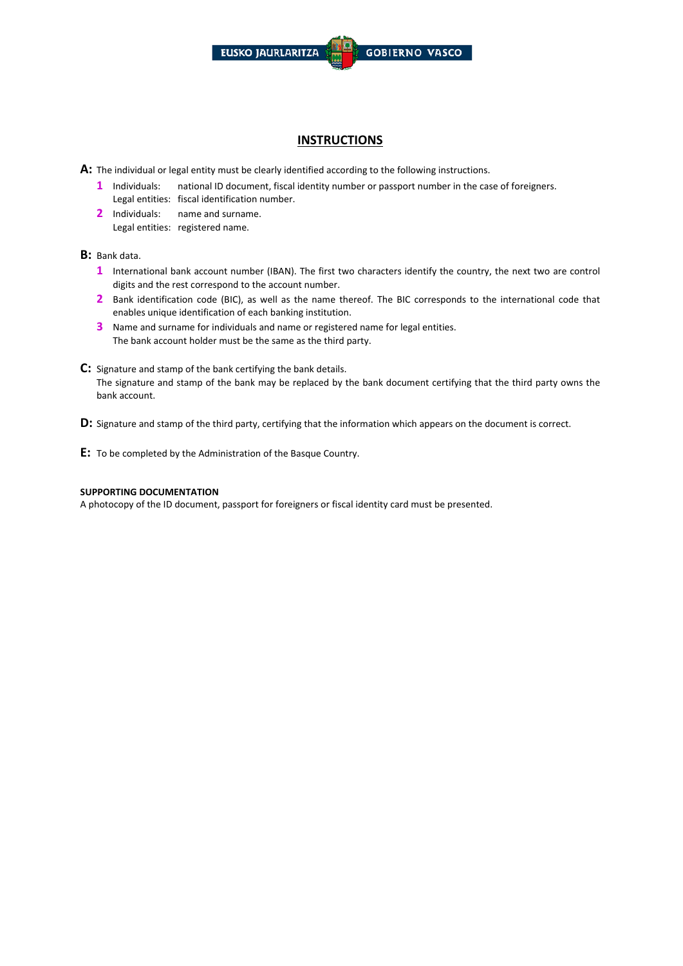

## **INSTRUCTIONS**

**A:** The individual or legal entity must be clearly identified according to the following instructions.

- **1** Individuals: national ID document, fiscal identity number or passport number in the case of foreigners. Legal entities: fiscal identification number.
- **2** Individuals: name and surname. Legal entities: registered name.

**B:** Bank data.

- **1** International bank account number (IBAN). The first two characters identify the country, the next two are control digits and the rest correspond to the account number.
- **2** Bank identification code (BIC), as well as the name thereof. The BIC corresponds to the international code that enables unique identification of each banking institution.
- **3** Name and surname for individuals and name or registered name for legal entities. The bank account holder must be the same as the third party.
- **C:** Signature and stamp of the bank certifying the bank details. The signature and stamp of the bank may be replaced by the bank document certifying that the third party owns the bank account.

**D:** Signature and stamp of the third party, certifying that the information which appears on the document is correct.

**E:** To be completed by the Administration of the Basque Country.

#### **SUPPORTING DOCUMENTATION**

A photocopy of the ID document, passport for foreigners or fiscal identity card must be presented.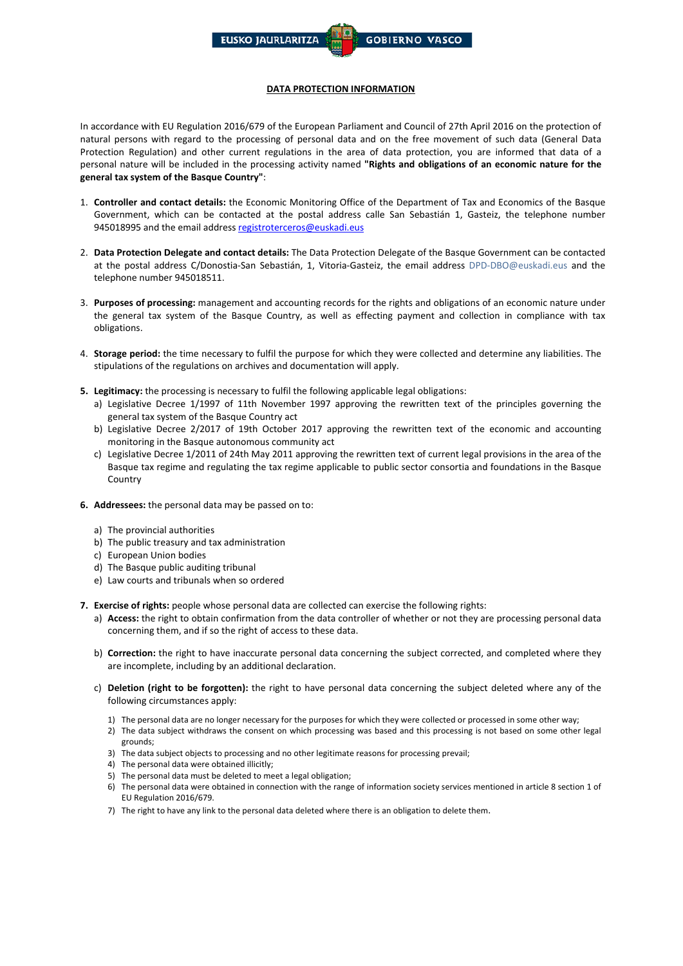

#### **DATA PROTECTION INFORMATION**

In accordance with EU Regulation 2016/679 of the European Parliament and Council of 27th April 2016 on the protection of natural persons with regard to the processing of personal data and on the free movement of such data (General Data Protection Regulation) and other current regulations in the area of data protection, vou are informed that data of a personal nature will be included in the processing activity named **"Rights and obligations of an economic nature for the general tax system of the Basque Country"**:

- 1. **Controller and contact details:** the Economic Monitoring Office of the Department of Tax and Economics of the Basque Government, which can be contacted at the postal address calle San Sebastián 1, Gasteiz, the telephone number 945018995 and the email address registroterceros@euskadi.eus
- 2. **Data Protection Delegate and contact details:** The Data Protection Delegate of the Basque Government can be contacted at the postal address C/Donostia-San Sebastián, 1, Vitoria-Gasteiz, the email address DPD-DBO@euskadi.eus and the telephone number 945018511.
- 3. **Purposes of processing:** management and accounting records for the rights and obligations of an economic nature under the general tax system of the Basque Country, as well as effecting payment and collection in compliance with tax obligations.
- 4. **Storage period:** the time necessary to fulfil the purpose for which they were collected and determine any liabilities. The stipulations of the regulations on archives and documentation will apply.
- **5. Legitimacy:** the processing is necessary to fulfil the following applicable legal obligations:
	- a) Legislative Decree 1/1997 of 11th November 1997 approving the rewritten text of the principles governing the general tax system of the Basque Country act
	- b) Legislative Decree 2/2017 of 19th October 2017 approving the rewritten text of the economic and accounting monitoring in the Basque autonomous community act
	- c) Legislative Decree 1/2011 of 24th May 2011 approving the rewritten text of current legal provisions in the area of the Basque tax regime and regulating the tax regime applicable to public sector consortia and foundations in the Basque Country
- **6. Addressees:** the personal data may be passed on to:
	- a) The provincial authorities
	- b) The public treasury and tax administration
	- c) European Union bodies
	- d) The Basque public auditing tribunal
	- e) Law courts and tribunals when so ordered
- **7. Exercise of rights:** people whose personal data are collected can exercise the following rights:
	- a) **Access:** the right to obtain confirmation from the data controller of whether or not they are processing personal data concerning them, and if so the right of access to these data.
	- b) **Correction:** the right to have inaccurate personal data concerning the subject corrected, and completed where they are incomplete, including by an additional declaration.
	- c) **Deletion (right to be forgotten):** the right to have personal data concerning the subject deleted where any of the following circumstances apply:
		- 1) The personal data are no longer necessary for the purposes for which they were collected or processed in some other way;
		- 2) The data subject withdraws the consent on which processing was based and this processing is not based on some other legal grounds;
		- 3) The data subject objects to processing and no other legitimate reasons for processing prevail;
		- 4) The personal data were obtained illicitly;
		- 5) The personal data must be deleted to meet a legal obligation;
		- 6) The personal data were obtained in connection with the range of information society services mentioned in article 8 section 1 of EU Regulation 2016/679.
		- 7) The right to have any link to the personal data deleted where there is an obligation to delete them.